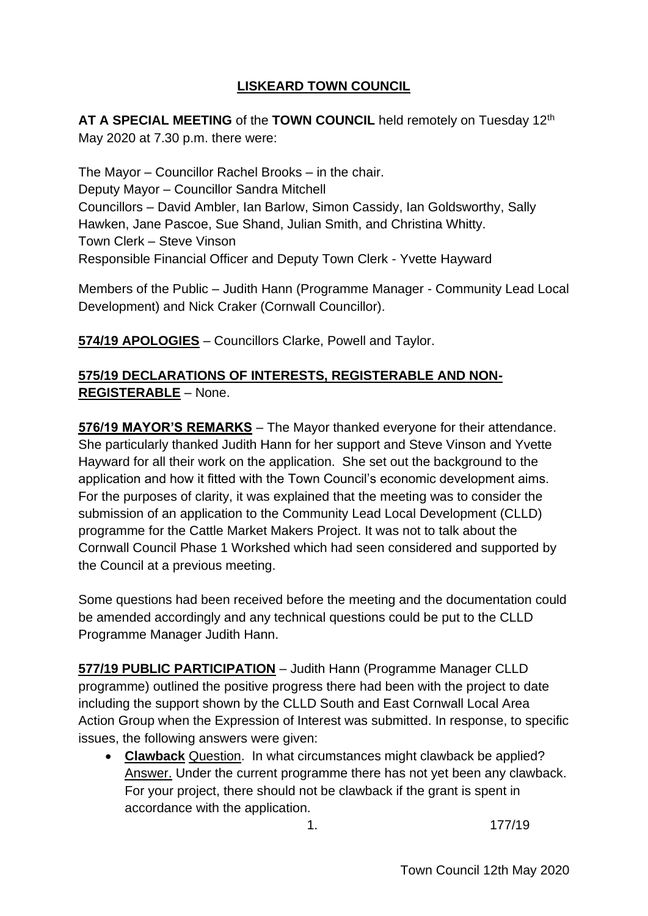# **LISKEARD TOWN COUNCIL**

**AT A SPECIAL MEETING** of the **TOWN COUNCIL** held remotely on Tuesday 12th May 2020 at 7.30 p.m. there were:

The Mayor – Councillor Rachel Brooks – in the chair. Deputy Mayor – Councillor Sandra Mitchell Councillors – David Ambler, Ian Barlow, Simon Cassidy, Ian Goldsworthy, Sally Hawken, Jane Pascoe, Sue Shand, Julian Smith, and Christina Whitty. Town Clerk – Steve Vinson Responsible Financial Officer and Deputy Town Clerk - Yvette Hayward

Members of the Public – Judith Hann (Programme Manager - Community Lead Local Development) and Nick Craker (Cornwall Councillor).

**574/19 APOLOGIES** – Councillors Clarke, Powell and Taylor.

## **575/19 DECLARATIONS OF INTERESTS, REGISTERABLE AND NON-REGISTERABLE** – None.

**576/19 MAYOR'S REMARKS** – The Mayor thanked everyone for their attendance. She particularly thanked Judith Hann for her support and Steve Vinson and Yvette Hayward for all their work on the application. She set out the background to the application and how it fitted with the Town Council's economic development aims. For the purposes of clarity, it was explained that the meeting was to consider the submission of an application to the Community Lead Local Development (CLLD) programme for the Cattle Market Makers Project. It was not to talk about the Cornwall Council Phase 1 Workshed which had seen considered and supported by the Council at a previous meeting.

Some questions had been received before the meeting and the documentation could be amended accordingly and any technical questions could be put to the CLLD Programme Manager Judith Hann.

**577/19 PUBLIC PARTICIPATION** – Judith Hann (Programme Manager CLLD programme) outlined the positive progress there had been with the project to date including the support shown by the CLLD South and East Cornwall Local Area Action Group when the Expression of Interest was submitted. In response, to specific issues, the following answers were given:

• **Clawback** Question. In what circumstances might clawback be applied? Answer. Under the current programme there has not yet been any clawback. For your project, there should not be clawback if the grant is spent in accordance with the application.

1. 177/19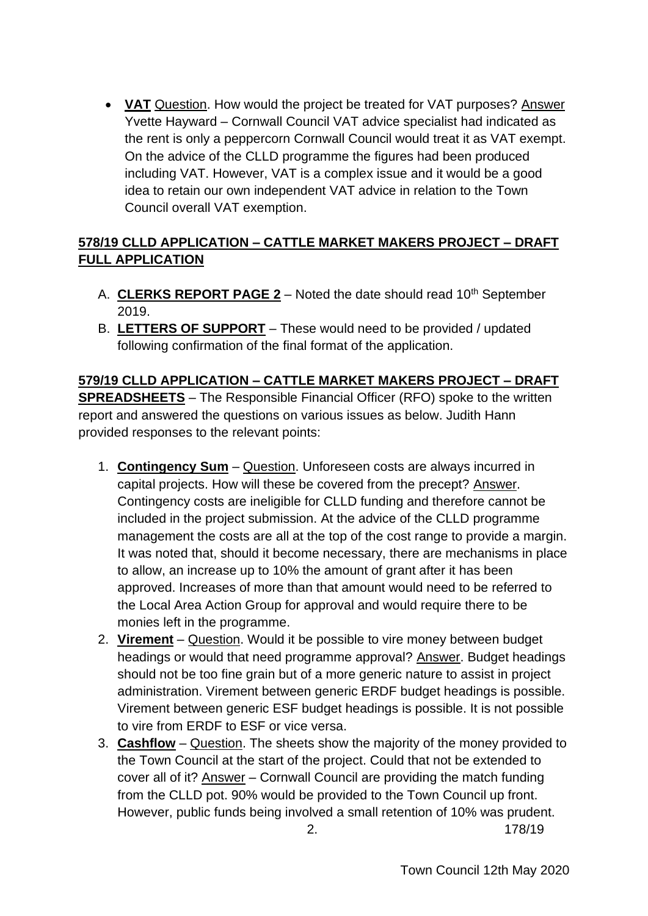• **VAT** Question. How would the project be treated for VAT purposes? Answer Yvette Hayward – Cornwall Council VAT advice specialist had indicated as the rent is only a peppercorn Cornwall Council would treat it as VAT exempt. On the advice of the CLLD programme the figures had been produced including VAT. However, VAT is a complex issue and it would be a good idea to retain our own independent VAT advice in relation to the Town Council overall VAT exemption.

# **578/19 CLLD APPLICATION – CATTLE MARKET MAKERS PROJECT – DRAFT FULL APPLICATION**

- A. **CLERKS REPORT PAGE 2** Noted the date should read 10<sup>th</sup> September 2019.
- B. **LETTERS OF SUPPORT** These would need to be provided / updated following confirmation of the final format of the application.

**579/19 CLLD APPLICATION – CATTLE MARKET MAKERS PROJECT – DRAFT SPREADSHEETS** – The Responsible Financial Officer (RFO) spoke to the written report and answered the questions on various issues as below. Judith Hann provided responses to the relevant points:

- 1. **Contingency Sum** Question. Unforeseen costs are always incurred in capital projects. How will these be covered from the precept? Answer. Contingency costs are ineligible for CLLD funding and therefore cannot be included in the project submission. At the advice of the CLLD programme management the costs are all at the top of the cost range to provide a margin. It was noted that, should it become necessary, there are mechanisms in place to allow, an increase up to 10% the amount of grant after it has been approved. Increases of more than that amount would need to be referred to the Local Area Action Group for approval and would require there to be monies left in the programme.
- 2. **Virement** Question. Would it be possible to vire money between budget headings or would that need programme approval? Answer. Budget headings should not be too fine grain but of a more generic nature to assist in project administration. Virement between generic ERDF budget headings is possible. Virement between generic ESF budget headings is possible. It is not possible to vire from ERDF to ESF or vice versa.
- 3. **Cashflow** Question. The sheets show the majority of the money provided to the Town Council at the start of the project. Could that not be extended to cover all of it? Answer – Cornwall Council are providing the match funding from the CLLD pot. 90% would be provided to the Town Council up front. However, public funds being involved a small retention of 10% was prudent.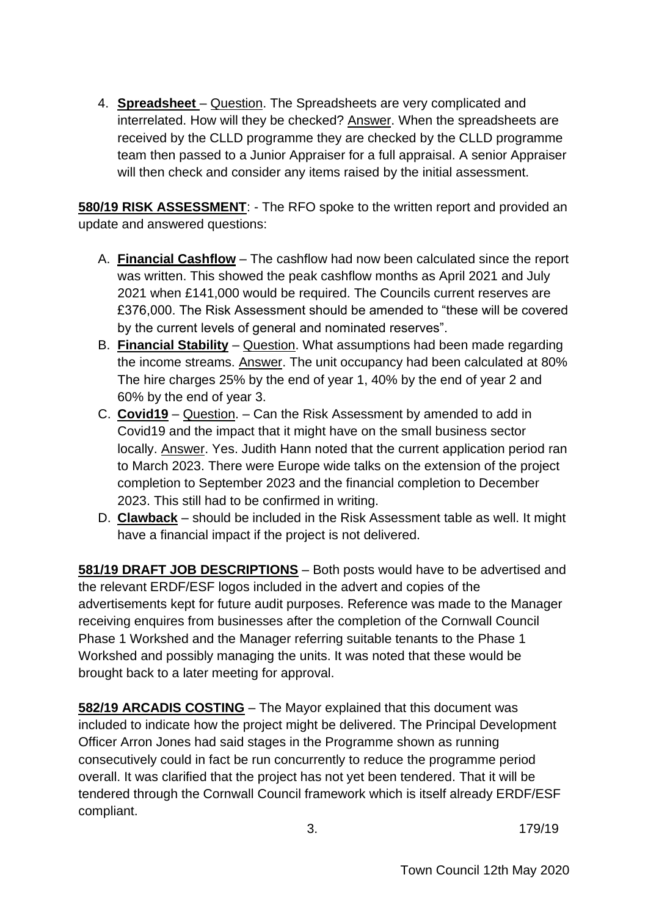4. **Spreadsheet** – Question. The Spreadsheets are very complicated and interrelated. How will they be checked? Answer. When the spreadsheets are received by the CLLD programme they are checked by the CLLD programme team then passed to a Junior Appraiser for a full appraisal. A senior Appraiser will then check and consider any items raised by the initial assessment.

**580/19 RISK ASSESSMENT**: - The RFO spoke to the written report and provided an update and answered questions:

- A. **Financial Cashflow** The cashflow had now been calculated since the report was written. This showed the peak cashflow months as April 2021 and July 2021 when £141,000 would be required. The Councils current reserves are £376,000. The Risk Assessment should be amended to "these will be covered by the current levels of general and nominated reserves".
- B. **Financial Stability** Question. What assumptions had been made regarding the income streams. Answer. The unit occupancy had been calculated at 80% The hire charges 25% by the end of year 1, 40% by the end of year 2 and 60% by the end of year 3.
- C. **Covid19** Question. Can the Risk Assessment by amended to add in Covid19 and the impact that it might have on the small business sector locally. Answer. Yes. Judith Hann noted that the current application period ran to March 2023. There were Europe wide talks on the extension of the project completion to September 2023 and the financial completion to December 2023. This still had to be confirmed in writing.
- D. **Clawback** should be included in the Risk Assessment table as well. It might have a financial impact if the project is not delivered.

**581/19 DRAFT JOB DESCRIPTIONS** – Both posts would have to be advertised and the relevant ERDF/ESF logos included in the advert and copies of the advertisements kept for future audit purposes. Reference was made to the Manager receiving enquires from businesses after the completion of the Cornwall Council Phase 1 Workshed and the Manager referring suitable tenants to the Phase 1 Workshed and possibly managing the units. It was noted that these would be brought back to a later meeting for approval.

**582/19 ARCADIS COSTING** – The Mayor explained that this document was included to indicate how the project might be delivered. The Principal Development Officer Arron Jones had said stages in the Programme shown as running consecutively could in fact be run concurrently to reduce the programme period overall. It was clarified that the project has not yet been tendered. That it will be tendered through the Cornwall Council framework which is itself already ERDF/ESF compliant.

3. 179/19